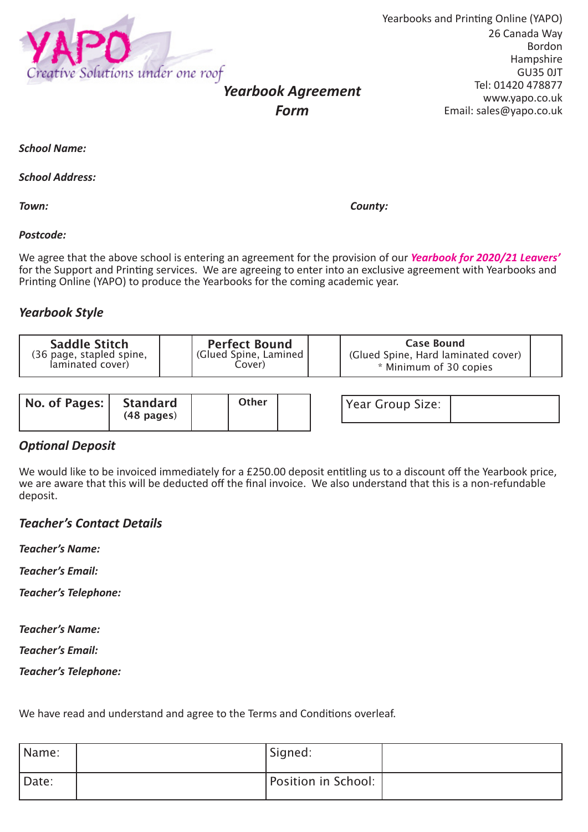

Yearbooks and Printing Online (YAPO) 26 Canada Way Bordon Hampshire GU35 0JT Tel: 01420 478877 www.yapo.co.uk Email: sales@yapo.co.uk

*School Name:*

*School Address:*

*Town: County:*

#### *Postcode:*

We agree that the above school is entering an agreement for the provision of our *Yearbook for 2020/21 Leavers'*  for the Support and Printing services. We are agreeing to enter into an exclusive agreement with Yearbooks and Printing Online (YAPO) to produce the Yearbooks for the coming academic year.

*Form*

#### *Yearbook Style*

| Saddle Stitch<br>(36 page, stapled spine,<br>laminated cover) | <b>Perfect Bound</b><br>Glued Spine, Lamined   <br>Cover). | Case Bound<br>(Glued Spine, Hard laminated cover)<br>* Minimum of 30 copies |  |
|---------------------------------------------------------------|------------------------------------------------------------|-----------------------------------------------------------------------------|--|
|                                                               |                                                            |                                                                             |  |

| No. of Pages: | Standard<br>$(48 \text{ pages})$ | Other |  |
|---------------|----------------------------------|-------|--|
|               |                                  |       |  |

| Other |  | Year Group Size: |  |
|-------|--|------------------|--|
|       |  |                  |  |

### *Optional Deposit*

We would like to be invoiced immediately for a £250.00 deposit entitling us to a discount off the Yearbook price, we are aware that this will be deducted off the final invoice. We also understand that this is a non-refundable deposit.

#### *Teacher's Contact Details*

*Teacher's Name:*

*Teacher's Email:*

*Teacher's Telephone:*

*Teacher's Name:*

*Teacher's Email:*

*Teacher's Telephone:*

We have read and understand and agree to the Terms and Conditions overleaf.

| Name: | Signed:             |  |
|-------|---------------------|--|
| Date: | Position in School: |  |